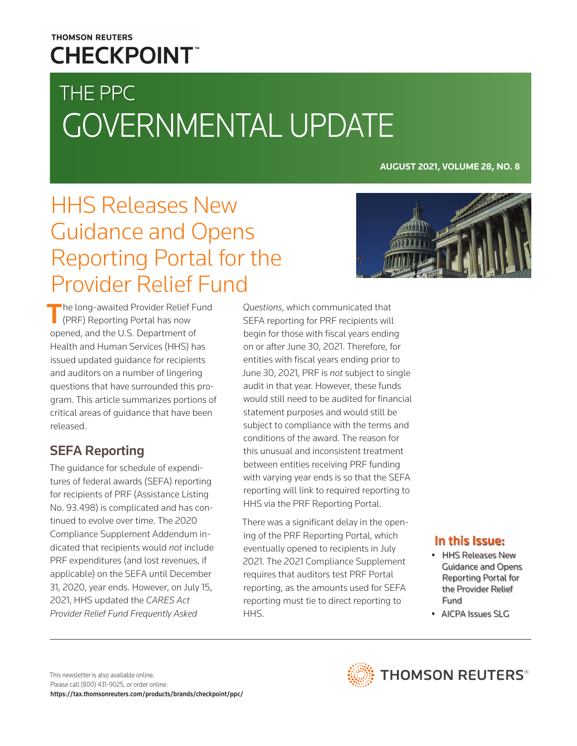## **THOMSON REUTERS CHECKPOINT**

# THE PPC GOVERNMENTAL UPDATE

**AUGUST 2021, VOLUME 28, NO. 8**

## HHS Releases New Guidance and Opens Reporting Portal for the Provider Relief Fund



The long-awaited Provider Relief Fund **F** (PRF) Reporting Portal has now opened, and the U.S. Department of Health and Human Services (HHS) has issued updated guidance for recipients and auditors on a number of lingering questions that have surrounded this program. This article summarizes portions of critical areas of guidance that have been released.

## SEFA Reporting

The guidance for schedule of expenditures of federal awards (SEFA) reporting for recipients of PRF (Assistance Listing No. 93.498) is complicated and has continued to evolve over time. The 2020 Compliance Supplement Addendum indicated that recipients would *not* include PRF expenditures (and lost revenues, if applicable) on the SEFA until December 31, 2020, year ends. However, on July 15, 2021, HHS updated the *CARES Act Provider Relief Fund Frequently Asked* 

*Questions*, which communicated that SEFA reporting for PRF recipients will begin for those with fiscal years ending on or after June 30, 2021. Therefore, for entities with fiscal years ending prior to June 30, 2021, PRF is *not* subject to single audit in that year. However, these funds would still need to be audited for financial statement purposes and would still be subject to compliance with the terms and conditions of the award. The reason for this unusual and inconsistent treatment between entities receiving PRF funding with varying year ends is so that the SEFA reporting will link to required reporting to HHS via the PRF Reporting Portal.

There was a significant delay in the opening of the PRF Reporting Portal, which eventually opened to recipients in July 2021. The 2021 Compliance Supplement requires that auditors test PRF Portal reporting, as the amounts used for SEFA reporting must tie to direct reporting to HHS.

### In this Issue:

- HHS Releases New Guidance and Opens Reporting Portal for the Provider Relief Fund
- AICPA Issues SLG

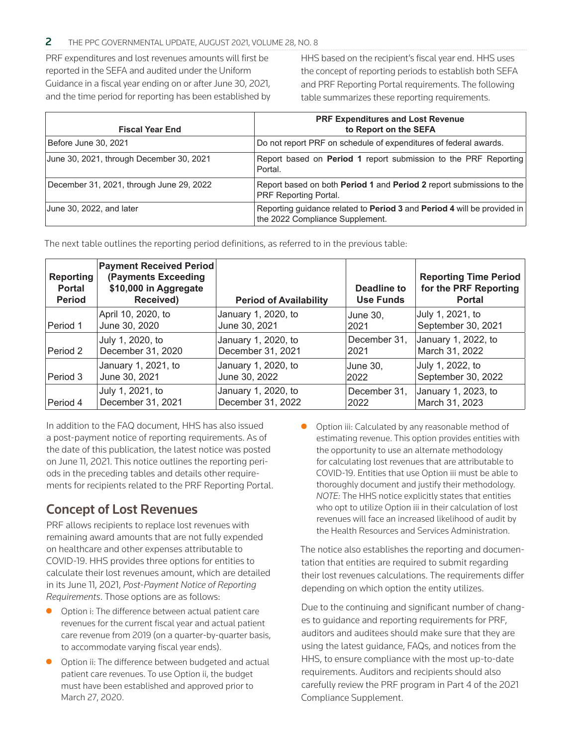#### 2 THE PPC GOVERNMENTAL UPDATE, AUGUST 2021, VOLUME 28, NO. 8

PRF expenditures and lost revenues amounts will first be reported in the SEFA and audited under the Uniform Guidance in a fiscal year ending on or after June 30, 2021, and the time period for reporting has been established by HHS based on the recipient's fiscal year end. HHS uses the concept of reporting periods to establish both SEFA and PRF Reporting Portal requirements. The following table summarizes these reporting requirements.

| <b>Fiscal Year End</b>                   | <b>PRF Expenditures and Lost Revenue</b><br>to Report on the SEFA                                                        |
|------------------------------------------|--------------------------------------------------------------------------------------------------------------------------|
| Before June 30, 2021                     | Do not report PRF on schedule of expenditures of federal awards.                                                         |
| June 30, 2021, through December 30, 2021 | Report based on <b>Period 1</b> report submission to the PRF Reporting<br>Portal.                                        |
| December 31, 2021, through June 29, 2022 | Report based on both <b>Period 1</b> and <b>Period 2</b> report submissions to the<br><b>PRF Reporting Portal.</b>       |
| June 30, 2022, and later                 | Reporting guidance related to <b>Period 3</b> and <b>Period 4</b> will be provided in<br>the 2022 Compliance Supplement. |

The next table outlines the reporting period definitions, as referred to in the previous table:

| Reporting<br><b>Portal</b><br><b>Period</b> | <b>Payment Received Period</b><br>(Payments Exceeding<br>\$10,000 in Aggregate<br>Received) | <b>Period of Availability</b> | Deadline to<br><b>Use Funds</b> | <b>Reporting Time Period</b><br>for the PRF Reporting<br><b>Portal</b> |
|---------------------------------------------|---------------------------------------------------------------------------------------------|-------------------------------|---------------------------------|------------------------------------------------------------------------|
| Period 1                                    | April 10, 2020, to                                                                          | January 1, 2020, to           | June 30.                        | July 1, 2021, to                                                       |
|                                             | June 30, 2020                                                                               | June 30, 2021                 | 2021                            | September 30, 2021                                                     |
| Period 2                                    | July 1, 2020, to                                                                            | January 1, 2020, to           | December 31,                    | January 1, 2022, to                                                    |
|                                             | December 31, 2020                                                                           | December 31, 2021             | 2021                            | March 31, 2022                                                         |
| Period 3                                    | January 1, 2021, to                                                                         | January 1, 2020, to           | June 30,                        | July 1, 2022, to                                                       |
|                                             | June 30, 2021                                                                               | June 30, 2022                 | 2022                            | September 30, 2022                                                     |
| Period 4                                    | July 1, 2021, to                                                                            | January 1, 2020, to           | December 31,                    | January 1, 2023, to                                                    |
|                                             | December 31, 2021                                                                           | December 31, 2022             | 2022                            | March 31, 2023                                                         |

In addition to the FAQ document, HHS has also issued a post-payment notice of reporting requirements. As of the date of this publication, the latest notice was posted on June 11, 2021. This notice outlines the reporting periods in the preceding tables and details other requirements for recipients related to the PRF Reporting Portal.

### Concept of Lost Revenues

PRF allows recipients to replace lost revenues with remaining award amounts that are not fully expended on healthcare and other expenses attributable to COVID-19. HHS provides three options for entities to calculate their lost revenues amount, which are detailed in its June 11, 2021, *Post-Payment Notice of Reporting Requirements*. Those options are as follows:

- $\bullet$  Option i: The difference between actual patient care revenues for the current fiscal year and actual patient care revenue from 2019 (on a quarter-by-quarter basis, to accommodate varying fiscal year ends).
- Option ii: The difference between budgeted and actual patient care revenues. To use Option ii, the budget must have been established and approved prior to March 27, 2020.

Option iii: Calculated by any reasonable method of estimating revenue. This option provides entities with the opportunity to use an alternate methodology for calculating lost revenues that are attributable to COVID-19. Entities that use Option iii must be able to thoroughly document and justify their methodology. *NOTE:* The HHS notice explicitly states that entities who opt to utilize Option iii in their calculation of lost revenues will face an increased likelihood of audit by the Health Resources and Services Administration.

The notice also establishes the reporting and documentation that entities are required to submit regarding their lost revenues calculations. The requirements differ depending on which option the entity utilizes.

Due to the continuing and significant number of changes to guidance and reporting requirements for PRF, auditors and auditees should make sure that they are using the latest guidance, FAQs, and notices from the HHS, to ensure compliance with the most up-to-date requirements. Auditors and recipients should also carefully review the PRF program in Part 4 of the 2021 Compliance Supplement.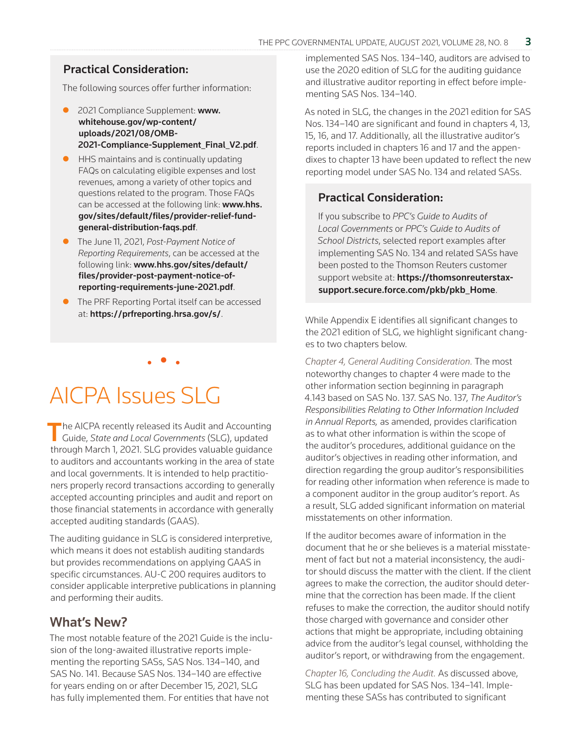#### Practical Consideration:

The following sources offer further information:

- 2021 Compliance Supplement: www. whitehouse.gov/wp-content/ uploads/2021/08/OMB-[2021-Compliance-Supplement\\_Final\\_V2.pdf](https://www.whitehouse.gov/wp-content/uploads/2021/08/OMB-2021-Compliance-Supplement_Final_V2.pdf).
- HHS maintains and is continually updating FAQs on calculating eligible expenses and lost revenues, among a variety of other topics and questions related to the program. Those FAQs can be accessed at the following link: www.hhs. [gov/sites/default/files/provider-relief-fund](https://www.hhs.gov/sites/default/files/provider-relief-fund-general-distribution-faqs.pdf)general-distribution-faqs.pdf.
- z The June 11, 2021, *Post-Payment Notice of Reporting Requirements*, can be accessed at the following link: www.hhs.gov/sites/default/ [files/provider-post-payment-notice-of](https://www.hhs.gov/sites/default/files/provider-post-payment-notice-of-reporting-requirements-june-2021.pdf)reporting-requirements-june-2021.pdf.
- The PRF Reporting Portal itself can be accessed at: <https://prfreporting.hrsa.gov/s/>.

• • •

# AICPA Issues SLG

 $\blacksquare$  he AICPA recently released its Audit and Accounting Guide, *State and Local Governments* (SLG), updated through March 1, 2021. SLG provides valuable guidance to auditors and accountants working in the area of state and local governments. It is intended to help practitioners properly record transactions according to generally accepted accounting principles and audit and report on those financial statements in accordance with generally accepted auditing standards (GAAS).

The auditing guidance in SLG is considered interpretive, which means it does not establish auditing standards but provides recommendations on applying GAAS in specific circumstances. AU-C 200 requires auditors to consider applicable interpretive publications in planning and performing their audits.

### What's New?

The most notable feature of the 2021 Guide is the inclusion of the long-awaited illustrative reports implementing the reporting SASs, SAS Nos. 134–140, and SAS No. 141. Because SAS Nos. 134–140 are effective for years ending on or after December 15, 2021, SLG has fully implemented them. For entities that have not

implemented SAS Nos. 134–140, auditors are advised to use the 2020 edition of SLG for the auditing guidance and illustrative auditor reporting in effect before implementing SAS Nos. 134–140.

As noted in SLG, the changes in the 2021 edition for SAS Nos. 134–140 are significant and found in chapters 4, 13, 15, 16, and 17. Additionally, all the illustrative auditor's reports included in chapters 16 and 17 and the appendixes to chapter 13 have been updated to reflect the new reporting model under SAS No. 134 and related SASs.

#### Practical Consideration:

If you subscribe to *PPC's Guide to Audits of Local Governments* or *PPC's Guide to Audits of School Districts*, selected report examples after implementing SAS No. 134 and related SASs have been posted to the Thomson Reuters customer support website at: https://thomsonreuterstax[support.secure.force.com/pkb/pkb\\_Home](https://thomsonreuterstaxsupport.secure.force.com/pkb/pkb_Home).

While Appendix E identifies all significant changes to the 2021 edition of SLG, we highlight significant changes to two chapters below.

*Chapter 4, General Auditing Consideration.* The most noteworthy changes to chapter 4 were made to the other information section beginning in paragraph 4.143 based on SAS No. 137. SAS No. 137, *The Auditor's Responsibilities Relating to Other Information Included in Annual Reports,* as amended, provides clarification as to what other information is within the scope of the auditor's procedures, additional guidance on the auditor's objectives in reading other information, and direction regarding the group auditor's responsibilities for reading other information when reference is made to a component auditor in the group auditor's report. As a result, SLG added significant information on material misstatements on other information.

If the auditor becomes aware of information in the document that he or she believes is a material misstatement of fact but not a material inconsistency, the auditor should discuss the matter with the client. If the client agrees to make the correction, the auditor should determine that the correction has been made. If the client refuses to make the correction, the auditor should notify those charged with governance and consider other actions that might be appropriate, including obtaining advice from the auditor's legal counsel, withholding the auditor's report, or withdrawing from the engagement.

*Chapter 16, Concluding the Audit.* As discussed above, SLG has been updated for SAS Nos. 134–141. Implementing these SASs has contributed to significant